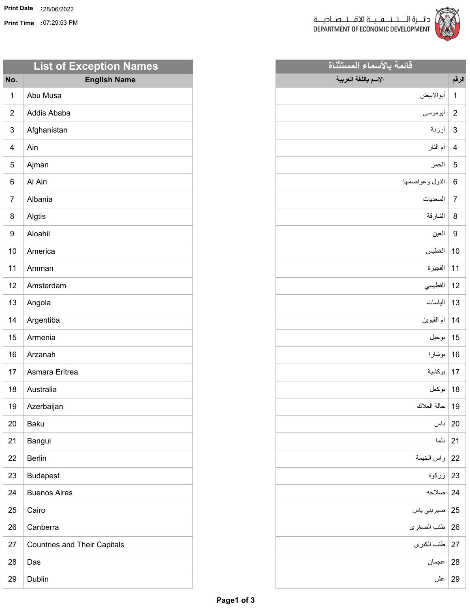**Print Time :** 07:29:53 PM



**قائمة بالأسماء المستثناة**

**الإسم باللغة العربية**

| دائــــرة الـــــتــ<br>EVELOPMENT |       |
|------------------------------------|-------|
| فائمة                              |       |
|                                    | الرقم |
| أبوالابيض                          | 1     |
| أبوموسى                            | 2     |
| أرزنة                              | 3     |
| أم الذار                           | 4     |
| الحمر                              | 5     |

| 6   الدول وعواصمها |  |
|--------------------|--|
|--------------------|--|

| اأسدا |  |
|-------|--|
| .     |  |

| - 11 |  |
|------|--|
|      |  |

العين 9

| 10   الغطيس |  |
|-------------|--|

| $-3.30$<br>$\bullet$ $\cdot$<br>-- | т |
|------------------------------------|---|

| اأفط<br>---- |  |
|--------------|--|

| الطسات<br>$\overline{\phantom{a}}$ | ۰, |
|------------------------------------|----|
| .                                  | -  |

- ام القيوين 14
- بوحيل 15
- بوشارا 16
- بوكشية 17
	- بوكعل 18
	- حالة العلاك 19
	- داس 20
	- دلما 21
	- راس الخيمة 22
	- - زركوة 23
			- صلاحه 24
			- صيربني ياس 25
			- طنب الصغرى 26
			- طنب الكبرى 27
				-
				-
				-
				- عجمان 28
					- عش 29

| No.            | <b>English Name</b>                 |
|----------------|-------------------------------------|
| 1              | Abu Musa                            |
| $\overline{2}$ | Addis Ababa                         |
| 3              | Afghanistan                         |
| 4              | Ain                                 |
| 5              | Ajman                               |
| 6              | Al Ain                              |
| 7              | Albania                             |
| 8              | Algtis                              |
| 9              | Aloahil                             |
| 10             | America                             |
| 11             | Amman                               |
| 12             | Amsterdam                           |
| 13             | Angola                              |
| 14             | Argentiba                           |
| 15             | Armenia                             |
| 16             | Arzanah                             |
| 17             | Asmara Eritrea                      |
| 18             | Australia                           |
| 19             | Azerbaijan                          |
| 20             | <b>Baku</b>                         |
| 21             | Bangui                              |
| 22             | <b>Berlin</b>                       |
| 23             | <b>Budapest</b>                     |
| 24             | <b>Buenos Aires</b>                 |
| 25             | Cairo                               |
| 26             | Canberra                            |
| 27             | <b>Countries and Their Capitals</b> |
| 28             | Das                                 |
| 29             | Dublin                              |

**List of Exception Names**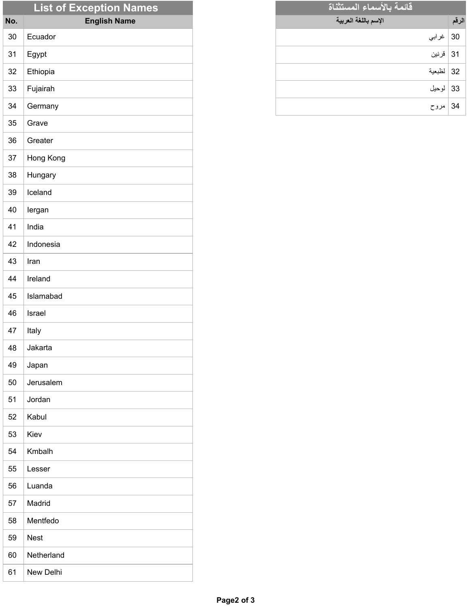|     | <b>List of Exception Names</b> |
|-----|--------------------------------|
| No. | <b>English Name</b>            |
| 30  | Ecuador                        |
| 31  | Egypt                          |
| 32  | Ethiopia                       |
| 33  | Fujairah                       |
| 34  | Germany                        |
| 35  | Grave                          |
| 36  | Greater                        |
| 37  | Hong Kong                      |
| 38  | Hungary                        |
| 39  | Iceland                        |
| 40  | lergan                         |
| 41  | India                          |
| 42  | Indonesia                      |
| 43  | Iran                           |
| 44  | Ireland                        |
| 45  | Islamabad                      |
| 46  | Israel                         |
| 47  | Italy                          |
| 48  | Jakarta                        |
| 49  | Japan                          |
| 50  | Jerusalem                      |
| 51  | Jordan                         |
| 52  | Kabul                          |
| 53  | Kiev                           |
| 54  | Kmbalh                         |
| 55  | Lesser                         |
| 56  | Luanda                         |
| 57  | Madrid                         |
| 58  | Mentfedo                       |
| 59  | <b>Nest</b>                    |
| 60  | Netherland                     |
| 61  | New Delhi                      |

| فائمة بالأسماء المستثناة |       |
|--------------------------|-------|
| الإسم باللغة العربية     | الرقم |
| 30   غرابي               |       |
| 31   قرنين               |       |
| 32   لظبعية              |       |
| 33   لوحيل               |       |
| 34   مروح                |       |